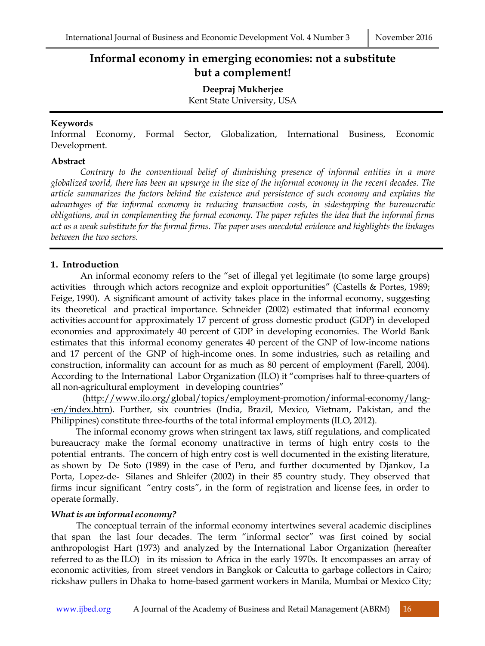# **Informal economy in emerging economies: not a substitute but a complement!**

**Deepraj Mukherjee**

Kent State University, USA

### **Keywords**

Informal Economy, Formal Sector, Globalization, International Business, Economic Development.

#### **Abstract**

*Contrary to the conventional belief of diminishing presence of informal entities in a more globalized world, there has been an upsurge in the size of the informal economy in the recent decades. The article summarizes the factors behind the existence and persistence of such economy and explains the advantages of the informal economy in reducing transaction costs, in sidestepping the bureaucratic obligations, and in complementing the formal economy. The paper refutes the idea that the informal firms act as a weak substitute for the formal firms. The paper uses anecdotal evidence and highlights the linkages between the two sectors.*

## **1. Introduction**

An informal economy refers to the "set of illegal yet legitimate (to some large groups) activities through which actors recognize and exploit opportunities" (Castells & Portes, 1989; Feige, 1990). A significant amount of activity takes place in the informal economy, suggesting its theoretical and practical importance. Schneider (2002) estimated that informal economy activities account for approximately 17 percent of gross domestic product (GDP) in developed economies and approximately 40 percent of GDP in developing economies. The World Bank estimates that this informal economy generates 40 percent of the GNP of low-income nations and 17 percent of the GNP of high-income ones. In some industries, such as retailing and construction, informality can account for as much as 80 percent of employment (Farell, 2004). According to the International Labor Organization (ILO) it "comprises half to three-quarters of all non-agricultural employment in developing countries"

(http://www.ilo.org/global/topics/employment-promotion/informal-economy/lang- -en/index.htm). Further, six countries (India, Brazil, Mexico, Vietnam, Pakistan, and the Philippines) constitute three-fourths of the total informal employments (ILO, 2012).

The informal economy grows when stringent tax laws, stiff regulations, and complicated bureaucracy make the formal economy unattractive in terms of high entry costs to the potential entrants. The concern of high entry cost is well documented in the existing literature, as shown by De Soto (1989) in the case of Peru, and further documented by Djankov, La Porta, Lopez-de- Silanes and Shleifer (2002) in their 85 country study. They observed that firms incur significant "entry costs", in the form of registration and license fees, in order to operate formally.

### *<i>What is an informal economy?*

The conceptual terrain of the informal economy intertwines several academic disciplines that span the last four decades. The term "informal sector" was first coined by social anthropologist Hart (1973) and analyzed by the International Labor Organization (hereafter referred to as the ILO) in its mission to Africa in the early 1970s. It encompasses an array of economic activities, from street vendors in Bangkok or Calcutta to garbage collectors in Cairo; rickshaw pullers in Dhaka to home-based garment workers in Manila, Mumbai or Mexico City;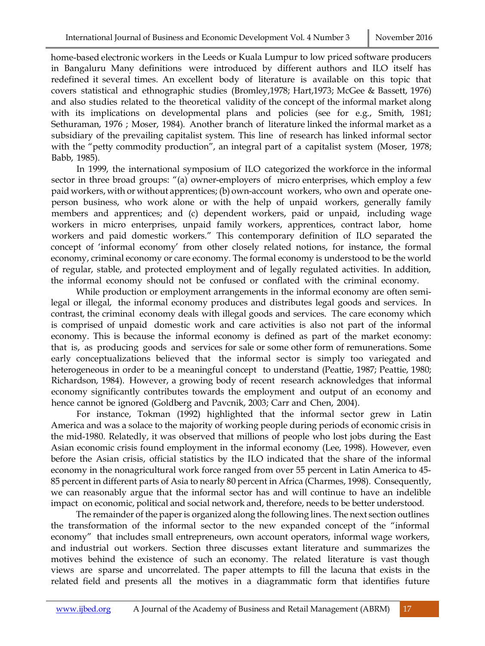home-based electronic workers in the Leeds or Kuala Lumpur to low priced software producers in Bangaluru Many definitions were introduced by different authors and ILO itself has redefined it several times. An excellent body of literature is available on this topic that covers statistical and ethnographic studies (Bromley,1978; Hart,1973; McGee & Bassett, 1976) and also studies related to the theoretical validity of the concept of the informal market along with its implications on developmental plans and policies (see for e.g., Smith, 1981; Sethuraman, 1976 ; Moser, 1984). Another branch of literature linked the informal market as a subsidiary of the prevailing capitalist system. This line of research has linked informal sector with the "petty commodity production", an integral part of a capitalist system (Moser, 1978; Babb, 1985).

In 1999, the international symposium of ILO categorized the workforce in the informal sector in three broad groups: "(a) owner-employers of micro enterprises, which employ a few paid workers, with or without apprentices; (b) own-account workers, who own and operate oneperson business, who work alone or with the help of unpaid workers, generally family members and apprentices; and (c) dependent workers, paid or unpaid, including wage workers in micro enterprises, unpaid family workers, apprentices, contract labor, home workers and paid domestic workers." This contemporary definition of ILO separated the concept of 'informal economy' from other closely related notions, for instance, the formal economy, criminal economy or care economy. The formal economy is understood to be the world of regular, stable, and protected employment and of legally regulated activities. In addition, the informal economy should not be confused or conflated with the criminal economy.

While production or employment arrangements in the informal economy are often semilegal or illegal, the informal economy produces and distributes legal goods and services. In contrast, the criminal economy deals with illegal goods and services. The care economy which is comprised of unpaid domestic work and care activities is also not part of the informal economy. This is because the informal economy is defined as part of the market economy: that is, as producing goods and services for sale or some other form of remunerations. Some early conceptualizations believed that the informal sector is simply too variegated and heterogeneous in order to be a meaningful concept to understand (Peattie, 1987; Peattie, 1980; Richardson, 1984). However, a growing body of recent research acknowledges that informal economy significantly contributes towards the employment and output of an economy and hence cannot be ignored (Goldberg and Pavcnik, 2003; Carr and Chen, 2004).

For instance, Tokman (1992) highlighted that the informal sector grew in Latin America and was a solace to the majority of working people during periods of economic crisis in the mid-1980. Relatedly, it was observed that millions of people who lost jobs during the East Asian economic crisis found employment in the informal economy (Lee, 1998). However, even before the Asian crisis, official statistics by the ILO indicated that the share of the informal economy in the nonagricultural work force ranged from over 55 percent in Latin America to 45- 85 percent in different parts of Asia to nearly 80 percent in Africa (Charmes, 1998). Consequently, we can reasonably argue that the informal sector has and will continue to have an indelible impact on economic, political and social network and, therefore, needs to be better understood.

The remainder of the paperis organized along the following lines. The next section outlines the transformation of the informal sector to the new expanded concept of the "informal economy" that includes small entrepreneurs, own account operators, informal wage workers, and industrial out workers. Section three discusses extant literature and summarizes the motives behind the existence of such an economy. The related literature is vast though views are sparse and uncorrelated. The paper attempts to fill the lacuna that exists in the related field and presents all the motives in a diagrammatic form that identifies future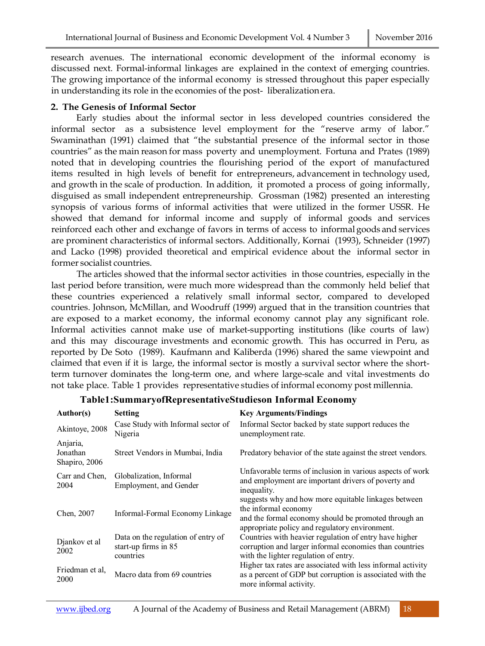research avenues. The international economic development of the informal economy is discussed next. Formal-informal linkages are explained in the context of emerging countries. The growing importance of the informal economy is stressed throughout this paper especially in understanding its role in the economies of the post- liberalization era.

#### **2. The Genesis of Informal Sector**

Early studies about the informal sector in less developed countries considered the informal sector as a subsistence level employment for the "reserve army of labor." Swaminathan (1991) claimed that "the substantial presence of the informal sector in those countries" as the main reason for mass poverty and unemployment. Fortuna and Prates (1989) noted that in developing countries the flourishing period of the export of manufactured items resulted in high levels of benefit for entrepreneurs, advancement in technology used, and growth in the scale of production. In addition, it promoted a process of going informally, disguised as small independent entrepreneurship. Grossman (1982) presented an interesting synopsis of various forms of informal activities that were utilized in the former USSR. He showed that demand for informal income and supply of informal goods and services reinforced each other and exchange of favors in terms of access to informal goods and services are prominent characteristics of informal sectors. Additionally, Kornai (1993), Schneider (1997) and Lacko (1998) provided theoretical and empirical evidence about the informal sector in former socialist countries.

The articles showed that the informal sector activities in those countries, especially in the last period before transition, were much more widespread than the commonly held belief that these countries experienced a relatively small informal sector, compared to developed countries. Johnson, McMillan, and Woodruff (1999) argued that in the transition countries that are exposed to a market economy, the informal economy cannot play any significant role. Informal activities cannot make use of market-supporting institutions (like courts of law) and this may discourage investments and economic growth. This has occurred in Peru, as reported by De Soto (1989). Kaufmann and Kaliberda (1996) shared the same viewpoint and claimed that even if it is large, the informal sector is mostly a survival sector where the shortterm turnover dominates the long-term one, and where large-scale and vital investments do not take place. Table 1 provides representative studies of informal economy post millennia.

| Author(s)                             | <b>Setting</b>                                                          | <b>Key Arguments/Findings</b>                                                                                                                                                          |
|---------------------------------------|-------------------------------------------------------------------------|----------------------------------------------------------------------------------------------------------------------------------------------------------------------------------------|
| Akintoye, 2008                        | Case Study with Informal sector of<br>Nigeria                           | Informal Sector backed by state support reduces the<br>unemployment rate.                                                                                                              |
| Anjaria,<br>Jonathan<br>Shapiro, 2006 | Street Vendors in Mumbai, India                                         | Predatory behavior of the state against the street vendors.                                                                                                                            |
| Carr and Chen.<br>2004                | Globalization, Informal<br>Employment, and Gender                       | Unfavorable terms of inclusion in various aspects of work<br>and employment are important drivers of poverty and<br>inequality.                                                        |
| Chen, 2007                            | Informal-Formal Economy Linkage                                         | suggests why and how more equitable linkages between<br>the informal economy<br>and the formal economy should be promoted through an<br>appropriate policy and regulatory environment. |
| Djankov et al<br>2002                 | Data on the regulation of entry of<br>start-up firms in 85<br>countries | Countries with heavier regulation of entry have higher<br>corruption and larger informal economies than countries<br>with the lighter regulation of entry.                             |
| Friedman et al,<br>2000               | Macro data from 69 countries                                            | Higher tax rates are associated with less informal activity<br>as a percent of GDP but corruption is associated with the<br>more informal activity.                                    |

### **Table1:SummaryofRepresentativeStudieson Informal Economy**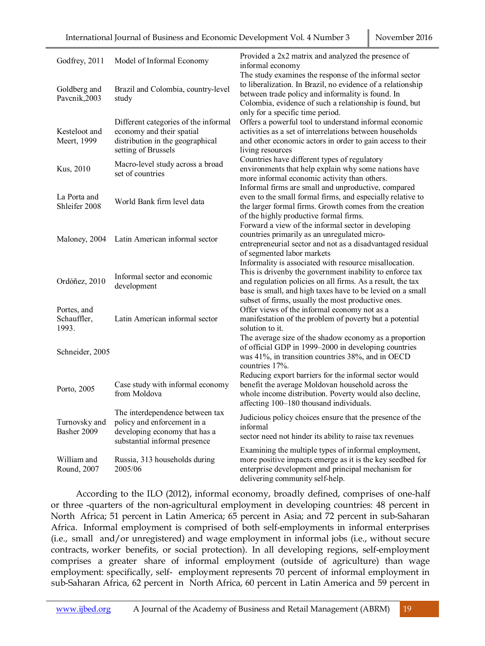| Godfrey, 2011                       | Model of Informal Economy                                                                                                        | Provided a 2x2 matrix and analyzed the presence of<br>informal economy                                                                                                                                                                                                                                |
|-------------------------------------|----------------------------------------------------------------------------------------------------------------------------------|-------------------------------------------------------------------------------------------------------------------------------------------------------------------------------------------------------------------------------------------------------------------------------------------------------|
| Goldberg and<br>Pavcnik,2003        | Brazil and Colombia, country-level<br>study                                                                                      | The study examines the response of the informal sector<br>to liberalization. In Brazil, no evidence of a relationship<br>between trade policy and informality is found. In<br>Colombia, evidence of such a relationship is found, but<br>only for a specific time period.                             |
| Kesteloot and<br>Meert, 1999        | Different categories of the informal<br>economy and their spatial<br>distribution in the geographical<br>setting of Brussels     | Offers a powerful tool to understand informal economic<br>activities as a set of interrelations between households<br>and other economic actors in order to gain access to their<br>living resources                                                                                                  |
| Kus, 2010                           | Macro-level study across a broad<br>set of countries                                                                             | Countries have different types of regulatory<br>environments that help explain why some nations have<br>more informal economic activity than others.                                                                                                                                                  |
| La Porta and<br>Shleifer 2008       | World Bank firm level data                                                                                                       | Informal firms are small and unproductive, compared<br>even to the small formal firms, and especially relative to<br>the larger formal firms. Growth comes from the creation<br>of the highly productive formal firms.                                                                                |
| Maloney, 2004                       | Latin American informal sector                                                                                                   | Forward a view of the informal sector in developing<br>countries primarily as an unregulated micro-<br>entrepreneurial sector and not as a disadvantaged residual<br>of segmented labor markets                                                                                                       |
| Ordóñez, 2010                       | Informal sector and economic<br>development                                                                                      | Informality is associated with resource misallocation.<br>This is driven by the government inability to enforce tax<br>and regulation policies on all firms. As a result, the tax<br>base is small, and high taxes have to be levied on a small<br>subset of firms, usually the most productive ones. |
| Portes, and<br>Schauffler,<br>1993. | Latin American informal sector                                                                                                   | Offer views of the informal economy not as a<br>manifestation of the problem of poverty but a potential<br>solution to it.                                                                                                                                                                            |
| Schneider, 2005                     |                                                                                                                                  | The average size of the shadow economy as a proportion<br>of official GDP in 1999-2000 in developing countries<br>was 41%, in transition countries 38%, and in OECD<br>countries 17%.                                                                                                                 |
| Porto, 2005                         | Case study with informal economy<br>from Moldova                                                                                 | Reducing export barriers for the informal sector would<br>benefit the average Moldovan household across the<br>whole income distribution. Poverty would also decline,<br>affecting 100-180 thousand individuals.                                                                                      |
| Turnovsky and<br>Basher 2009        | The interdependence between tax<br>policy and enforcement in a<br>developing economy that has a<br>substantial informal presence | Judicious policy choices ensure that the presence of the<br>informal<br>sector need not hinder its ability to raise tax revenues                                                                                                                                                                      |
| William and<br>Round, 2007          | Russia, 313 households during<br>2005/06                                                                                         | Examining the multiple types of informal employment,<br>more positive impacts emerge as it is the key seedbed for<br>enterprise development and principal mechanism for<br>delivering community self-help.                                                                                            |

According to the ILO (2012), informal economy, broadly defined, comprises of one-half or three -quarters of the non-agricultural employment in developing countries: 48 percent in North Africa; 51 percent in Latin America; 65 percent in Asia; and 72 percent in sub-Saharan Africa. Informal employment is comprised of both self-employments in informal enterprises (i.e., small and/or unregistered) and wage employment in informal jobs (i.e., without secure contracts, worker benefits, or social protection). In all developing regions, self-employment comprises a greater share of informal employment (outside of agriculture) than wage employment: specifically, self- employment represents 70 percent of informal employment in sub-Saharan Africa, 62 percent in North Africa, 60 percent in Latin America and 59 percent in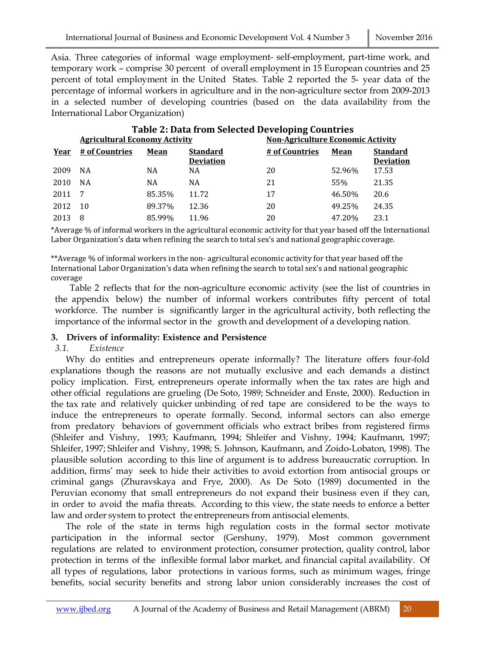Asia. Three categories of informal wage employment- self-employment, part-time work, and temporary work – comprise 30 percent of overall employment in 15 European countries and 25 percent of total employment in the United States. Table 2 reported the 5- year data of the percentage of informal workers in agriculture and in the non-agriculture sector from 2009-2013 in a selected number of developing countries (based on the data availability from the International Labor Organization)

| <b>Table 2: Data from Selected Developing Countries</b> |                                      |             |                  |                                          |        |                  |  |  |
|---------------------------------------------------------|--------------------------------------|-------------|------------------|------------------------------------------|--------|------------------|--|--|
|                                                         | <b>Agricultural Economy Activity</b> |             |                  | <b>Non-Agriculture Economic Activity</b> |        |                  |  |  |
| Year                                                    | # of Countries                       | <b>Mean</b> | <b>Standard</b>  | # of Countries                           | Mean   | <b>Standard</b>  |  |  |
|                                                         |                                      |             | <b>Deviation</b> |                                          |        | <b>Deviation</b> |  |  |
| 2009                                                    | <b>NA</b>                            | NА          | NA               | 20                                       | 52.96% | 17.53            |  |  |
| 2010                                                    | <b>NA</b>                            | NA          | NA               | 21                                       | 55%    | 21.35            |  |  |
| 2011                                                    | -7                                   | 85.35%      | 11.72            | 17                                       | 46.50% | 20.6             |  |  |
| 2012                                                    | 10                                   | 89.37%      | 12.36            | 20                                       | 49.25% | 24.35            |  |  |
| 2013                                                    | 8                                    | 85.99%      | 11.96            | 20                                       | 47.20% | 23.1             |  |  |

\*Average % of informal workers in the agricultural economic activity for that year based off the International Labor Organization's data when refining the search to total sex's and national geographic coverage.

\*\*Average % of informal workers in the non- agricultural economic activity for that year based off the International Labor Organization's data when refining the search to total sex's and national geographic coverage

Table 2 reflects that for the non-agriculture economic activity (see the list of countries in the appendix below) the number of informal workers contributes fifty percent of total workforce. The number is significantly larger in the agricultural activity, both reflecting the importance of the informal sector in the growth and development of a developing nation.

### **3. Drivers of informality: Existence and Persistence**

# *3.1. Existence*

Why do entities and entrepreneurs operate informally? The literature offers four-fold explanations though the reasons are not mutually exclusive and each demands a distinct policy implication. First, entrepreneurs operate informally when the tax rates are high and other official regulations are grueling (De Soto, 1989; Schneider and Enste, 2000). Reduction in the tax rate and relatively quicker unbinding of red tape are considered to be the ways to induce the entrepreneurs to operate formally. Second, informal sectors can also emerge from predatory behaviors of government officials who extract bribes from registered firms (Shleifer and Vishny, 1993; Kaufmann, 1994; Shleifer and Vishny, 1994; Kaufmann, 1997; Shleifer, 1997; Shleifer and Vishny, 1998; S. Johnson, Kaufmann, and Zoido-Lobaton, 1998). The plausible solution according to this line of argument is to address bureaucratic corruption. In addition, firms' may seek to hide their activities to avoid extortion from antisocial groups or criminal gangs (Zhuravskaya and Frye, 2000). As De Soto (1989) documented in the Peruvian economy that small entrepreneurs do not expand their business even if they can, in order to avoid the mafia threats. According to this view, the state needs to enforce a better law and order system to protect the entrepreneurs from antisocial elements.

The role of the state in terms high regulation costs in the formal sector motivate participation in the informal sector (Gershuny, 1979). Most common government regulations are related to environment protection, consumer protection, quality control, labor protection in terms of the inflexible formal labor market, and financial capital availability. Of all types of regulations, labor protections in various forms, such as minimum wages, fringe benefits, social security benefits and strong labor union considerably increases the cost of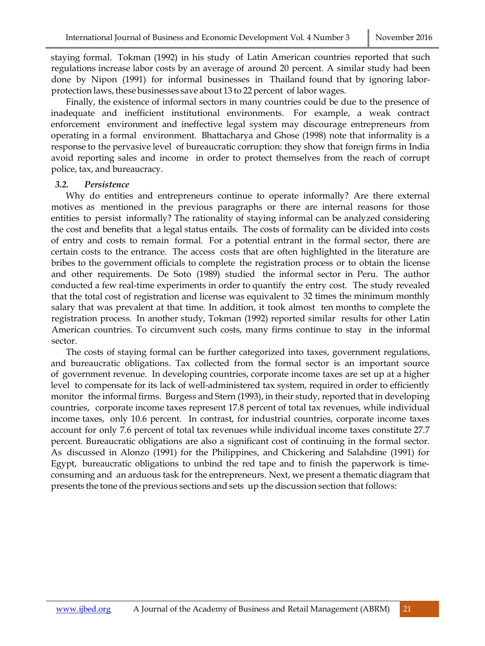staying formal. Tokman (1992) in his study of Latin American countries reported that such regulations increase labor costs by an average of around 20 percent. A similar study had been done by Nipon (1991) for informal businesses in Thailand found that by ignoring laborprotection laws, these businesses save about 13 to 22 percent of labor wages.

Finally, the existence of informal sectors in many countries could be due to the presence of inadequate and inefficient institutional environments. For example, a weak contract enforcement environment and ineffective legal system may discourage entrepreneurs from operating in a formal environment. Bhattacharya and Ghose (1998) note that informality is a response to the pervasive level of bureaucratic corruption: they show that foreign firms in India avoid reporting sales and income in order to protect themselves from the reach of corrupt police, tax, and bureaucracy.

#### *3.2. Persistence*

Why do entities and entrepreneurs continue to operate informally? Are there external motives as mentioned in the previous paragraphs or there are internal reasons for those entities to persist informally? The rationality of staying informal can be analyzed considering the cost and benefits that a legal status entails. The costs of formality can be divided into costs of entry and costs to remain formal. For a potential entrant in the formal sector, there are certain costs to the entrance. The access costs that are often highlighted in the literature are bribes to the government officials to complete the registration process or to obtain the license and other requirements. De Soto (1989) studied the informal sector in Peru. The author conducted a few real-time experiments in order to quantify the entry cost. The study revealed that the total cost of registration and license was equivalent to 32 times the minimum monthly salary that was prevalent at that time. In addition, it took almost ten months to complete the registration process. In another study, Tokman (1992) reported similar results for other Latin American countries. To circumvent such costs, many firms continue to stay in the informal sector.

The costs of staying formal can be further categorized into taxes, government regulations, and bureaucratic obligations. Tax collected from the formal sector is an important source of government revenue. In developing countries, corporate income taxes are set up at a higher level to compensate for its lack of well-administered tax system, required in order to efficiently monitor the informal firms. Burgess and Stern (1993), in their study, reported that in developing countries, corporate income taxes represent 17.8 percent of total tax revenues, while individual income taxes, only 10.6 percent. In contrast, for industrial countries, corporate income taxes account for only 7.6 percent of total tax revenues while individual income taxes constitute 27.7 percent. Bureaucratic obligations are also a significant cost of continuing in the formal sector. As discussed in Alonzo (1991) for the Philippines, and Chickering and Salahdine (1991) for Egypt, bureaucratic obligations to unbind the red tape and to finish the paperwork is timeconsuming and an arduous task for the entrepreneurs. Next, we present a thematic diagram that presents the tone of the previous sections and sets up the discussion section that follows: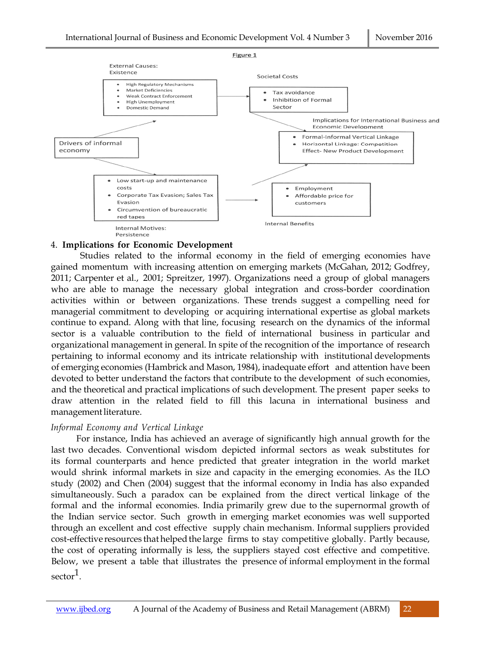

### 4. **Implications for Economic Development**

Studies related to the informal economy in the field of emerging economies have gained momentum with increasing attention on emerging markets (McGahan, 2012; Godfrey, 2011; Carpenter et al., 2001; Spreitzer, 1997). Organizations need a group of global managers who are able to manage the necessary global integration and cross-border coordination activities within or between organizations. These trends suggest a compelling need for managerial commitment to developing or acquiring international expertise as global markets continue to expand. Along with that line, focusing research on the dynamics of the informal sector is a valuable contribution to the field of international business in particular and organizational management in general. In spite of the recognition of the importance of research pertaining to informal economy and its intricate relationship with institutional developments of emerging economies (Hambrick and Mason, 1984), inadequate effort and attention have been devoted to better understand the factors that contribute to the development of such economies, and the theoretical and practical implications of such development. The present paper seeks to draw attention in the related field to fill this lacuna in international business and management literature.

#### *Informal Economy and Vertical Linkage*

For instance, India has achieved an average of significantly high annual growth for the last two decades. Conventional wisdom depicted informal sectors as weak substitutes for its formal counterparts and hence predicted that greater integration in the world market would shrink informal markets in size and capacity in the emerging economies. As the ILO study (2002) and Chen (2004) suggest that the informal economy in India has also expanded simultaneously. Such a paradox can be explained from the direct vertical linkage of the formal and the informal economies. India primarily grew due to the supernormal growth of the Indian service sector. Such growth in emerging market economies was well supported through an excellent and cost effective supply chain mechanism. Informal suppliers provided cost-effective resources that helpedthe large firms to stay competitive globally. Partly because, the cost of operating informally is less, the suppliers stayed cost effective and competitive. Below, we present a table that illustrates the presence of informal employment in the formal  $\mathrm{sector}^1$ .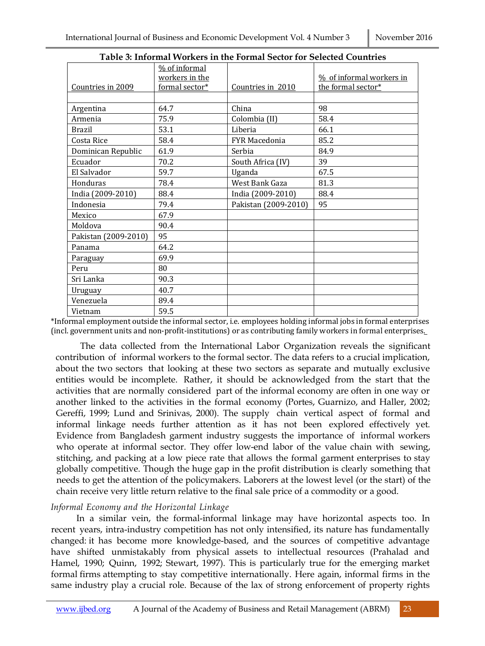|                      | % of informal  |                      |                          |
|----------------------|----------------|----------------------|--------------------------|
|                      | workers in the |                      | % of informal workers in |
| Countries in 2009    | formal sector* | Countries in 2010    | the formal sector*       |
|                      |                |                      |                          |
| Argentina            | 64.7           | China                | 98                       |
| Armenia              | 75.9           | Colombia (II)        | 58.4                     |
| <b>Brazil</b>        | 53.1           | Liberia              | 66.1                     |
| Costa Rice           | 58.4           | <b>FYR Macedonia</b> | 85.2                     |
| Dominican Republic   | 61.9           | Serbia               | 84.9                     |
| Ecuador              | 70.2           | South Africa (IV)    | 39                       |
| El Salvador          | 59.7           | Uganda               | 67.5                     |
| Honduras             | 78.4           | West Bank Gaza       | 81.3                     |
| India (2009-2010)    | 88.4           | India (2009-2010)    | 88.4                     |
| Indonesia            | 79.4           | Pakistan (2009-2010) | 95                       |
| Mexico               | 67.9           |                      |                          |
| Moldova              | 90.4           |                      |                          |
| Pakistan (2009-2010) | 95             |                      |                          |
| Panama               | 64.2           |                      |                          |
| Paraguay             | 69.9           |                      |                          |
| Peru                 | 80             |                      |                          |
| Sri Lanka            | 90.3           |                      |                          |
| Uruguay              | 40.7           |                      |                          |
| Venezuela            | 89.4           |                      |                          |
| Vietnam              | 59.5           |                      |                          |

**Table 3: Informal Workers in the Formal Sector for Selected Countries**

\*Informal employment outside the informal sector, i.e. employees holding informal jobs in formal enterprises (incl. government units and non-profit-institutions) or as contributing family workers in formal enterprises.

The data collected from the International Labor Organization reveals the significant contribution of informal workers to the formal sector. The data refers to a crucial implication, about the two sectors that looking at these two sectors as separate and mutually exclusive entities would be incomplete. Rather, it should be acknowledged from the start that the activities that are normally considered part of the informal economy are often in one way or another linked to the activities in the formal economy (Portes, Guarnizo, and Haller, 2002; Gereffi, 1999; Lund and Srinivas, 2000). The supply chain vertical aspect of formal and informal linkage needs further attention as it has not been explored effectively yet. Evidence from Bangladesh garment industry suggests the importance of informal workers who operate at informal sector. They offer low-end labor of the value chain with sewing, stitching, and packing at a low piece rate that allows the formal garment enterprises to stay globally competitive. Though the huge gap in the profit distribution is clearly something that needs to get the attention of the policymakers. Laborers at the lowest level (or the start) of the chain receive very little return relative to the final sale price of a commodity or a good.

### *Informal Economy and the Horizontal Linkage*

In a similar vein, the formal-informal linkage may have horizontal aspects too. In recent years, intra-industry competition has not only intensified, its nature has fundamentally changed: it has become more knowledge-based, and the sources of competitive advantage have shifted unmistakably from physical assets to intellectual resources (Prahalad and Hamel, 1990; Quinn, 1992; Stewart, 1997). This is particularly true for the emerging market formal firms attempting to stay competitive internationally. Here again, informal firms in the same industry play a crucial role. Because of the lax of strong enforcement of property rights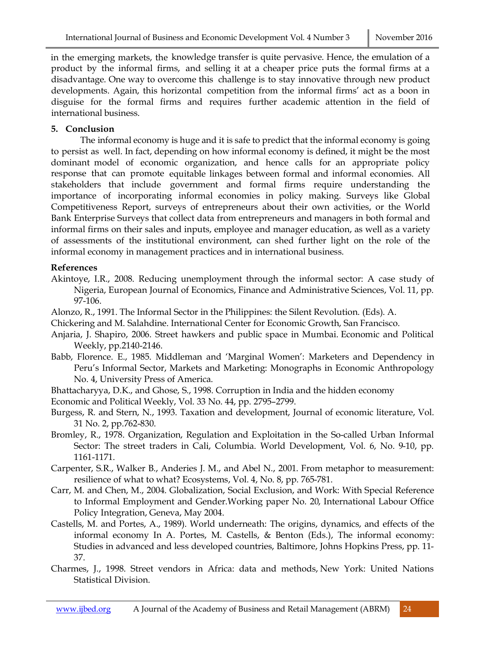in the emerging markets, the knowledge transfer is quite pervasive. Hence, the emulation of a product by the informal firms, and selling it at a cheaper price puts the formal firms at a disadvantage. One way to overcome this challenge is to stay innovative through new product developments. Again, this horizontal competition from the informal firms' act as a boon in disguise for the formal firms and requires further academic attention in the field of international business.

# **5. Conclusion**

The informal economy is huge and it is safe to predict that the informal economy is going to persist as well. In fact, depending on how informal economy is defined, it might be the most dominant model of economic organization, and hence calls for an appropriate policy response that can promote equitable linkages between formal and informal economies. All stakeholders that include government and formal firms require understanding the importance of incorporating informal economies in policy making. Surveys like Global Competitiveness Report, surveys of entrepreneurs about their own activities, or the World Bank Enterprise Surveys that collect data from entrepreneurs and managers in both formal and informal firms on their sales and inputs, employee and manager education, as well as a variety of assessments of the institutional environment, can shed further light on the role of the informal economy in management practices and in international business.

## **References**

- Akintoye, I.R., 2008. Reducing unemployment through the informal sector: A case study of Nigeria, European Journal of Economics, Finance and Administrative Sciences, Vol. 11, pp. 97-106.
- Alonzo, R., 1991. The Informal Sector in the Philippines: the Silent Revolution. (Eds). A.
- Chickering and M. Salahdine. International Center for Economic Growth, San Francisco.
- Anjaria, J. Shapiro, 2006. Street hawkers and public space in Mumbai. Economic and Political Weekly, pp.2140-2146.
- Babb, Florence. E., 1985. Middleman and 'Marginal Women': Marketers and Dependency in Peru's Informal Sector, Markets and Marketing: Monographs in Economic Anthropology No. 4, University Press of America.
- Bhattacharyya, D.K., and Ghose, S., 1998. Corruption in India and the hidden economy
- Economic and Political Weekly, Vol. 33 No. 44, pp. 2795–2799.
- Burgess, R. and Stern, N., 1993. Taxation and development, Journal of economic literature, Vol. 31 No. 2, pp.762-830.
- Bromley, R., 1978. Organization, Regulation and Exploitation in the So-called Urban Informal Sector: The street traders in Cali, Columbia. World Development, Vol. 6, No. 9-10, pp. 1161-1171.
- Carpenter, S.R., Walker B., Anderies J. M., and Abel N., 2001. From metaphor to measurement: resilience of what to what? Ecosystems, Vol. 4, No. 8, pp. 765-781.
- Carr, M. and Chen, M., 2004. Globalization, Social Exclusion, and Work: With Special Reference to Informal Employment and Gender.Working paper No. 20, International Labour Office Policy Integration, Geneva, May 2004.
- Castells, M. and Portes, A., 1989). World underneath: The origins, dynamics, and effects of the informal economy In A. Portes, M. Castells, & Benton (Eds.), The informal economy: Studies in advanced and less developed countries, Baltimore, Johns Hopkins Press, pp. 11- 37.
- Charmes, J., 1998. Street vendors in Africa: data and methods, New York: United Nations Statistical Division.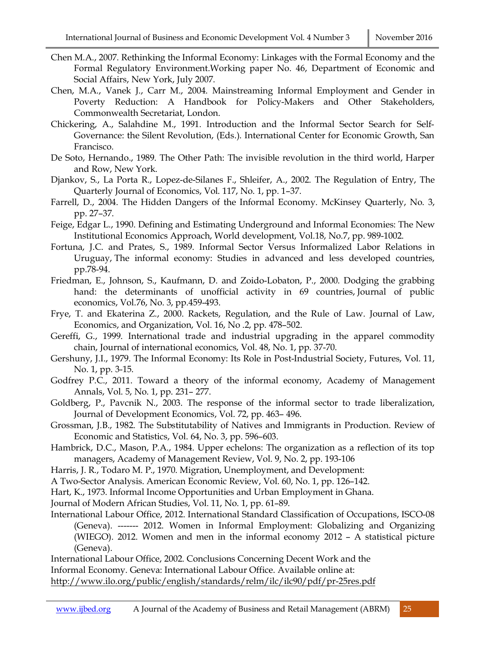- Chen M.A., 2007. Rethinking the Informal Economy: Linkages with the Formal Economy and the Formal Regulatory Environment.Working paper No. 46, Department of Economic and Social Affairs, New York, July 2007.
- Chen, M.A., Vanek J., Carr M., 2004. Mainstreaming Informal Employment and Gender in Poverty Reduction: A Handbook for Policy-Makers and Other Stakeholders, Commonwealth Secretariat, London.
- Chickering, A., Salahdine M., 1991. Introduction and the Informal Sector Search for Self-Governance: the Silent Revolution, (Eds.). International Center for Economic Growth, San Francisco.
- De Soto, Hernando., 1989. The Other Path: The invisible revolution in the third world, Harper and Row, New York.
- Djankov, S., La Porta R., Lopez-de-Silanes F., Shleifer, A., 2002. The Regulation of Entry, The Quarterly Journal of Economics, Vol. 117, No. 1, pp. 1–37.
- Farrell, D., 2004. The Hidden Dangers of the Informal Economy. McKinsey Quarterly, No. 3, pp. 27–37.
- Feige, Edgar L., 1990. Defining and Estimating Underground and Informal Economies: The New Institutional Economics Approach, World development, Vol.18, No.7, pp. 989-1002.
- Fortuna, J.C. and Prates, S., 1989. Informal Sector Versus Informalized Labor Relations in Uruguay, The informal economy: Studies in advanced and less developed countries, pp.78-94.
- Friedman, E., Johnson, S., Kaufmann, D. and Zoido-Lobaton, P., 2000. Dodging the grabbing hand: the determinants of unofficial activity in 69 countries, Journal of public economics, Vol.76, No. 3, pp.459-493.
- Frye, T. and Ekaterina Z., 2000. Rackets, Regulation, and the Rule of Law. Journal of Law, Economics, and Organization, Vol. 16, No .2, pp. 478–502.
- Gereffi, G., 1999. International trade and industrial upgrading in the apparel commodity chain, Journal of international economics, Vol. 48, No. 1, pp. 37-70.
- Gershuny, J.I., 1979. The Informal Economy: Its Role in Post-Industrial Society, Futures, Vol. 11, No. 1, pp. 3-15.
- Godfrey P.C., 2011. Toward a theory of the informal economy, Academy of Management Annals, Vol. 5, No. 1, pp. 231– 277.
- Goldberg, P., Pavcnik N., 2003. The response of the informal sector to trade liberalization, Journal of Development Economics, Vol. 72, pp. 463– 496.
- Grossman, J.B., 1982. The Substitutability of Natives and Immigrants in Production. Review of Economic and Statistics, Vol. 64, No. 3, pp. 596–603.

Hambrick, D.C., Mason, P.A., 1984. Upper echelons: The organization as a reflection of its top managers, Academy of Management Review, Vol. 9, No. 2, pp. 193-106

Harris, J. R., Todaro M. P., 1970. Migration, Unemployment, and Development:

A Two-Sector Analysis. American Economic Review, Vol. 60, No. 1, pp. 126–142.

Hart, K., 1973. Informal Income Opportunities and Urban Employment in Ghana.

Journal of Modern African Studies, Vol. 11, No. 1, pp. 61–89.

International Labour Office, 2012. International Standard Classification of Occupations, ISCO-08 (Geneva). ------- 2012. Women in Informal Employment: Globalizing and Organizing (WIEGO). 2012. Women and men in the informal economy 2012 – A statistical picture (Geneva).

International Labour Office, 2002. Conclusions Concerning Decent Work and the Informal Economy. Geneva: International Labour Office. Available online at: http://www.ilo.org/public/english/standards/relm/ilc/ilc90/pdf/pr-25res.pdf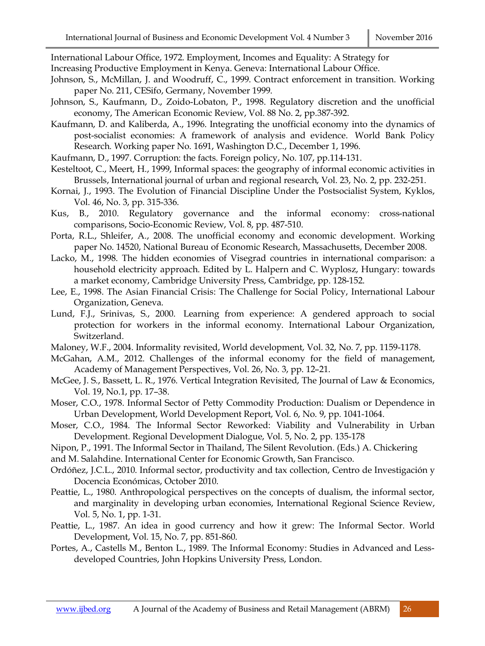International Labour Office, 1972. Employment, Incomes and Equality: A Strategy for

Increasing Productive Employment in Kenya. Geneva: International Labour Office.

- Johnson, S., McMillan, J. and Woodruff, C., 1999. Contract enforcement in transition. Working paper No. 211, CESifo, Germany, November 1999.
- Johnson, S., Kaufmann, D., Zoido-Lobaton, P., 1998. Regulatory discretion and the unofficial economy, The American Economic Review, Vol. 88 No. 2, pp.387-392.
- Kaufmann, D. and Kaliberda, A., 1996. Integrating the unofficial economy into the dynamics of post-socialist economies: A framework of analysis and evidence. World Bank Policy Research*.* Working paper No. 1691, Washington D.C., December 1, 1996.
- Kaufmann, D., 1997. Corruption: the facts. Foreign policy, No. 107, pp.114-131.
- Kesteltoot, C., Meert, H., 1999, Informal spaces: the geography of informal economic activities in Brussels, International journal of urban and regional research, Vol. 23, No. 2, pp. 232-251.
- Kornai, J., 1993. The Evolution of Financial Discipline Under the Postsocialist System, Kyklos, Vol. 46, No. 3, pp. 315-336.
- Kus, B., 2010. Regulatory governance and the informal economy: cross-national comparisons, Socio-Economic Review, Vol. 8, pp. 487-510.
- Porta, R.L., Shleifer, A., 2008. The unofficial economy and economic development. Working paper No. 14520, National Bureau of Economic Research, Massachusetts, December 2008.
- Lacko, M., 1998. The hidden economies of Visegrad countries in international comparison: a household electricity approach. Edited by L. Halpern and C. Wyplosz, Hungary: towards a market economy, Cambridge University Press, Cambridge, pp. 128-152.
- Lee, E., 1998. The Asian Financial Crisis: The Challenge for Social Policy, International Labour Organization, Geneva.
- Lund, F.J., Srinivas, S., 2000. Learning from experience: A gendered approach to social protection for workers in the informal economy. International Labour Organization, Switzerland.
- Maloney, W.F., 2004. Informality revisited, World development, Vol. 32, No. 7, pp. 1159-1178.
- McGahan, A.M., 2012. Challenges of the informal economy for the field of management, Academy of Management Perspectives, Vol. 26, No. 3, pp. 12–21.
- McGee, J. S., Bassett, L. R., 1976. Vertical Integration Revisited, The Journal of Law & Economics, Vol. 19, No.1, pp. 17–38.
- Moser, C.O., 1978. Informal Sector of Petty Commodity Production: Dualism or Dependence in Urban Development, World Development Report, Vol. 6, No. 9, pp. 1041-1064.
- Moser, C.O., 1984. The Informal Sector Reworked: Viability and Vulnerability in Urban Development. Regional Development Dialogue, Vol. 5, No. 2, pp. 135-178
- Nipon, P., 1991. The Informal Sector in Thailand, The Silent Revolution. (Eds.) A. Chickering

and M. Salahdine. International Center for Economic Growth, San Francisco.

- Ordóñez, J.C.L., 2010. Informal sector, productivity and tax collection, Centro de Investigación y Docencia Económicas, October 2010.
- Peattie, L., 1980. Anthropological perspectives on the concepts of dualism, the informal sector, and marginality in developing urban economies, International Regional Science Review, Vol. 5, No. 1, pp. 1-31.
- Peattie, L., 1987. An idea in good currency and how it grew: The Informal Sector. World Development, Vol. 15, No. 7, pp. 851-860.
- Portes, A., Castells M., Benton L., 1989. The Informal Economy: Studies in Advanced and Lessdeveloped Countries, John Hopkins University Press, London.